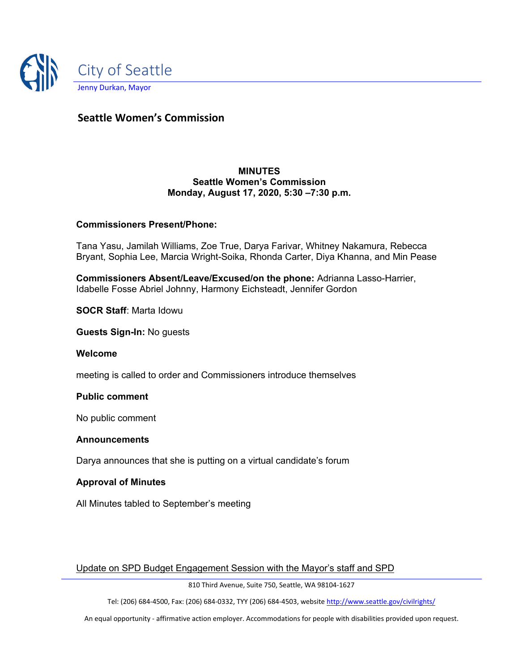

# **Seattle Women's Commission**

## **MINUTES Seattle Women's Commission Monday, August 17, 2020, 5:30 –7:30 p.m.**

### **Commissioners Present/Phone:**

Tana Yasu, Jamilah Williams, Zoe True, Darya Farivar, Whitney Nakamura, Rebecca Bryant, Sophia Lee, Marcia Wright-Soika, Rhonda Carter, Diya Khanna, and Min Pease

**Commissioners Absent/Leave/Excused/on the phone:** Adrianna Lasso-Harrier, Idabelle Fosse Abriel Johnny, Harmony Eichsteadt, Jennifer Gordon

**SOCR Staff**: Marta Idowu

**Guests Sign-In:** No guests

**Welcome**

meeting is called to order and Commissioners introduce themselves

#### **Public comment**

No public comment

#### **Announcements**

Darya announces that she is putting on a virtual candidate's forum

#### **Approval of Minutes**

All Minutes tabled to September's meeting

#### Update on SPD Budget Engagement Session with the Mayor's staff and SPD

810 Third Avenue, Suite 750, Seattle, WA 98104-1627

Tel: (206) 684-4500, Fax: (206) 684-0332, TYY (206) 684-4503, websit[e http://www.seattle.gov/civilrights/](http://www.seattle.gov/civilrights/)

An equal opportunity - affirmative action employer. Accommodations for people with disabilities provided upon request.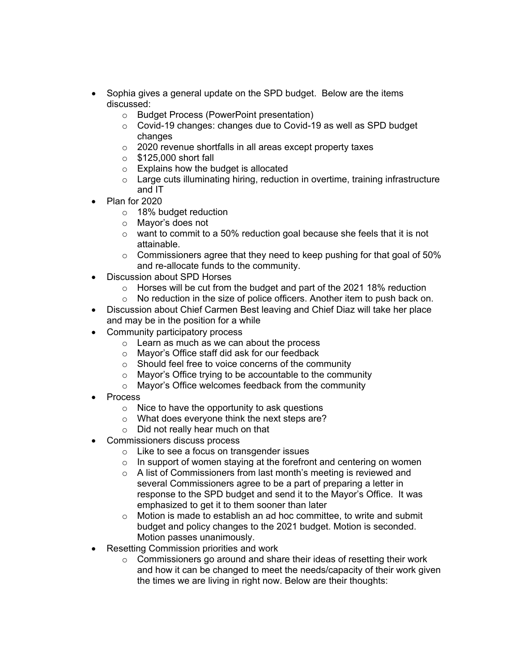- Sophia gives a general update on the SPD budget. Below are the items discussed:
	- o Budget Process (PowerPoint presentation)
	- o Covid-19 changes: changes due to Covid-19 as well as SPD budget changes
	- o 2020 revenue shortfalls in all areas except property taxes
	- $\circ$  \$125,000 short fall
	- o Explains how the budget is allocated
	- $\circ$  Large cuts illuminating hiring, reduction in overtime, training infrastructure and IT
- Plan for 2020
	- o 18% budget reduction
	- o Mayor's does not
	- o want to commit to a 50% reduction goal because she feels that it is not attainable.
	- $\circ$  Commissioners agree that they need to keep pushing for that goal of 50% and re-allocate funds to the community.
- Discussion about SPD Horses
	- o Horses will be cut from the budget and part of the 2021 18% reduction
	- o No reduction in the size of police officers. Another item to push back on.
- Discussion about Chief Carmen Best leaving and Chief Diaz will take her place and may be in the position for a while
- Community participatory process
	- o Learn as much as we can about the process
	- o Mayor's Office staff did ask for our feedback
	- o Should feel free to voice concerns of the community
	- o Mayor's Office trying to be accountable to the community
	- o Mayor's Office welcomes feedback from the community
- Process
	- $\circ$  Nice to have the opportunity to ask questions
	- o What does everyone think the next steps are?
	- o Did not really hear much on that
- Commissioners discuss process
	- o Like to see a focus on transgender issues
	- $\circ$  In support of women staying at the forefront and centering on women
	- o A list of Commissioners from last month's meeting is reviewed and several Commissioners agree to be a part of preparing a letter in response to the SPD budget and send it to the Mayor's Office. It was emphasized to get it to them sooner than later
	- o Motion is made to establish an ad hoc committee, to write and submit budget and policy changes to the 2021 budget. Motion is seconded. Motion passes unanimously.
- Resetting Commission priorities and work
	- o Commissioners go around and share their ideas of resetting their work and how it can be changed to meet the needs/capacity of their work given the times we are living in right now. Below are their thoughts: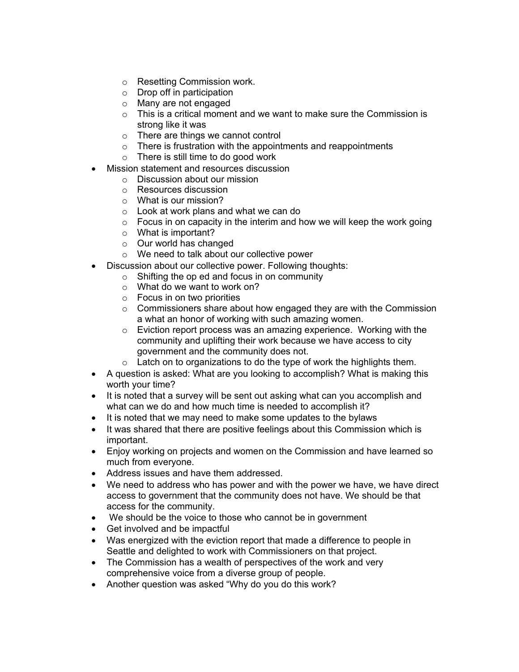- o Resetting Commission work.
- o Drop off in participation
- o Many are not engaged
- $\circ$  This is a critical moment and we want to make sure the Commission is strong like it was
- o There are things we cannot control
- $\circ$  There is frustration with the appointments and reappointments
- $\circ$  There is still time to do good work
- Mission statement and resources discussion
	- o Discussion about our mission
	- o Resources discussion
	- o What is our mission?
	- o Look at work plans and what we can do
	- $\circ$  Focus in on capacity in the interim and how we will keep the work going
	- o What is important?
	- o Our world has changed
	- o We need to talk about our collective power
- Discussion about our collective power. Following thoughts:
	- o Shifting the op ed and focus in on community
		- $\circ$  What do we want to work on?
		- o Focus in on two priorities
		- o Commissioners share about how engaged they are with the Commission a what an honor of working with such amazing women.
		- $\circ$  Eviction report process was an amazing experience. Working with the community and uplifting their work because we have access to city government and the community does not.
	- $\circ$  Latch on to organizations to do the type of work the highlights them.
- A question is asked: What are you looking to accomplish? What is making this worth your time?
- It is noted that a survey will be sent out asking what can you accomplish and what can we do and how much time is needed to accomplish it?
- It is noted that we may need to make some updates to the bylaws
- It was shared that there are positive feelings about this Commission which is important.
- Enjoy working on projects and women on the Commission and have learned so much from everyone.
- Address issues and have them addressed.
- We need to address who has power and with the power we have, we have direct access to government that the community does not have. We should be that access for the community.
- We should be the voice to those who cannot be in government
- Get involved and be impactful
- Was energized with the eviction report that made a difference to people in Seattle and delighted to work with Commissioners on that project.
- The Commission has a wealth of perspectives of the work and very comprehensive voice from a diverse group of people.
- Another question was asked "Why do you do this work?